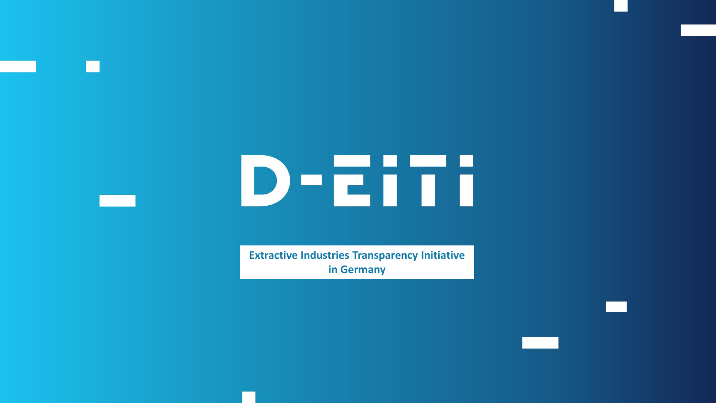# D-EiTi

**Extractive Industries Transparency Initiative in Germany**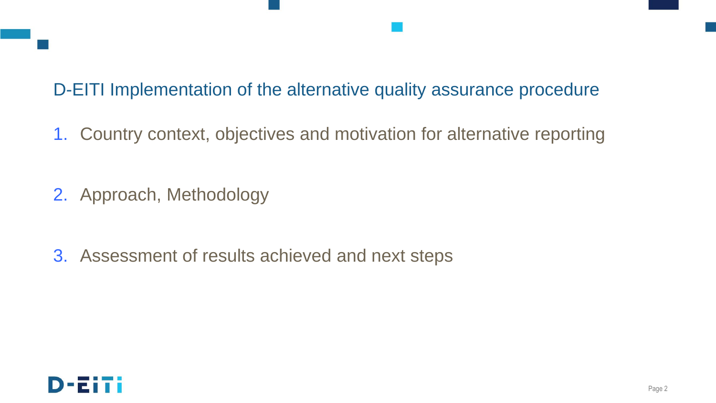# D-EITI Implementation of the alternative quality assurance procedure

1. Country context, objectives and motivation for alternative reporting

- 2. Approach, Methodology
- 3. Assessment of results achieved and next steps

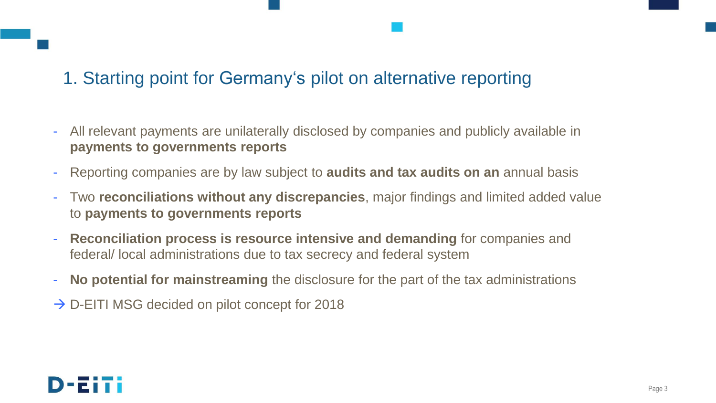# 1. Starting point for Germany's pilot on alternative reporting

- All relevant payments are unilaterally disclosed by companies and publicly available in **payments to governments reports**
- Reporting companies are by law subject to **audits and tax audits on an** annual basis
- Two **reconciliations without any discrepancies**, major findings and limited added value to **payments to governments reports**
- **Reconciliation process is resource intensive and demanding** for companies and federal/ local administrations due to tax secrecy and federal system
- **No potential for mainstreaming** the disclosure for the part of the tax administrations
- $\rightarrow$  D-EITI MSG decided on pilot concept for 2018

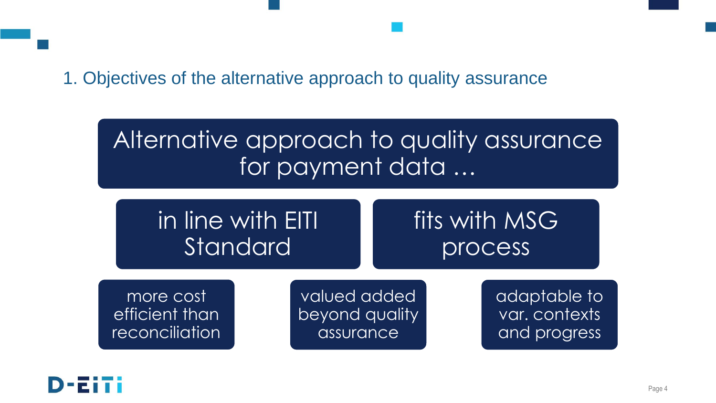## 1. Objectives of the alternative approach to quality assurance

# Alternative approach to quality assurance for payment data ...

| $\,$ in line with EITI $\,$ | fits with MSG |
|-----------------------------|---------------|
| Standard                    | process       |

more cost efficient than reconciliation

valued added beyond quality assurance

adaptable to var. contexts and progress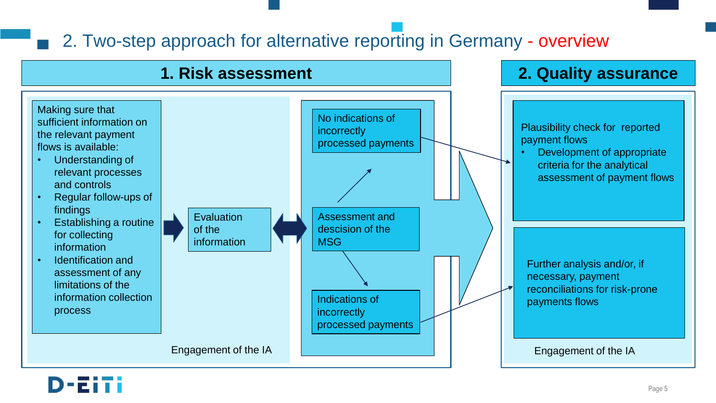# 2. Two-step approach for alternative reporting in Germany - overview

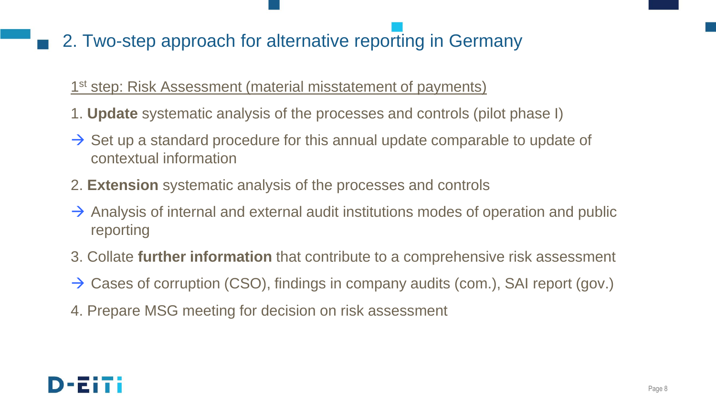# 2. Two-step approach for alternative reporting in Germany

### 1<sup>st</sup> step: Risk Assessment (material misstatement of payments)

- 1. **Update** systematic analysis of the processes and controls (pilot phase I)
- $\rightarrow$  Set up a standard procedure for this annual update comparable to update of contextual information
- 2. **Extension** systematic analysis of the processes and controls
- $\rightarrow$  Analysis of internal and external audit institutions modes of operation and public reporting
- 3. Collate **further information** that contribute to a comprehensive risk assessment
- $\rightarrow$  Cases of corruption (CSO), findings in company audits (com.), SAI report (gov.)
- 4. Prepare MSG meeting for decision on risk assessment

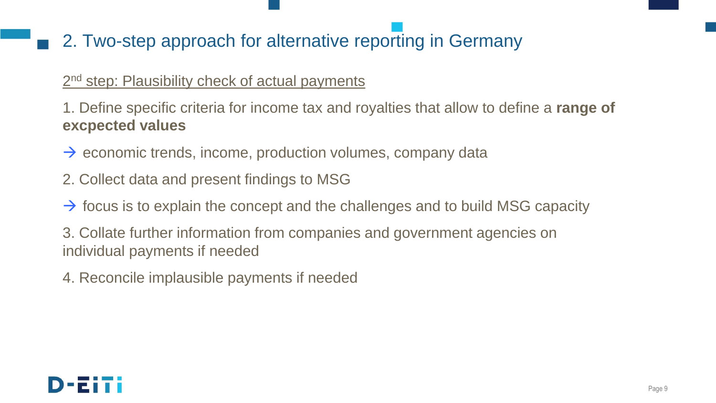# 2. Two-step approach for alternative reporting in Germany

#### 2<sup>nd</sup> step: Plausibility check of actual payments

1. Define specific criteria for income tax and royalties that allow to define a **range of excpected values**

- $\rightarrow$  economic trends, income, production volumes, company data
- 2. Collect data and present findings to MSG
- $\rightarrow$  focus is to explain the concept and the challenges and to build MSG capacity
- 3. Collate further information from companies and government agencies on individual payments if needed
- 4. Reconcile implausible payments if needed

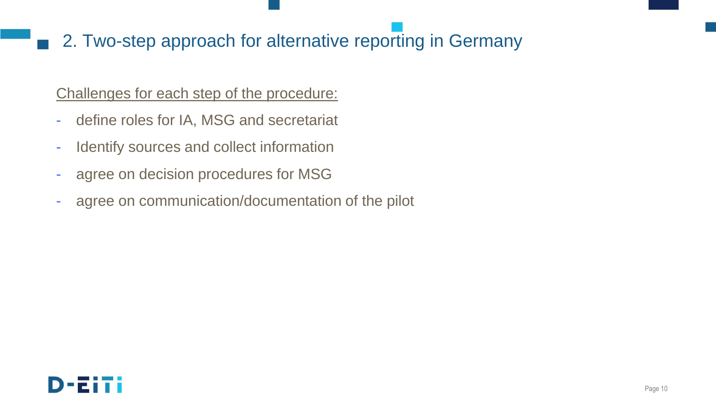# 2. Two-step approach for alternative reporting in Germany

#### Challenges for each step of the procedure:

- define roles for IA, MSG and secretariat
- Identify sources and collect information
- agree on decision procedures for MSG
- agree on communication/documentation of the pilot

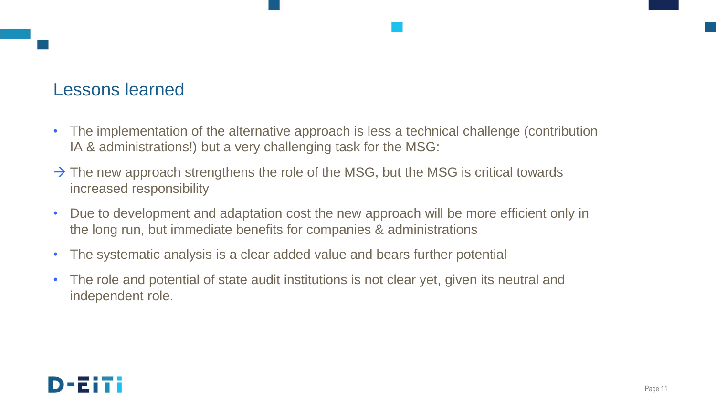## Lessons learned

- The implementation of the alternative approach is less a technical challenge (contribution IA & administrations!) but a very challenging task for the MSG:
- $\rightarrow$  The new approach strengthens the role of the MSG, but the MSG is critical towards increased responsibility
- Due to development and adaptation cost the new approach will be more efficient only in the long run, but immediate benefits for companies & administrations
- The systematic analysis is a clear added value and bears further potential
- The role and potential of state audit institutions is not clear yet, given its neutral and independent role.